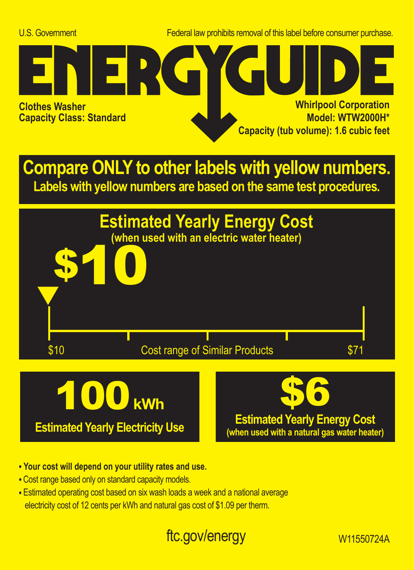U.S. Government Federal law prohibits removal of this label before consumer purchase.



**Compare ONLY to other labels with yellow numbers. Labels with yellow numbers are based on the same test procedures.**



- **Your cost will depend on your utility rates and use.**
- **•** Cost range based only on standard capacity models.
- **•** Estimated operating cost based on six wash loads a week and a national average electricity cost of 12 cents per kWh and natural gas cost of \$1.09 per therm.